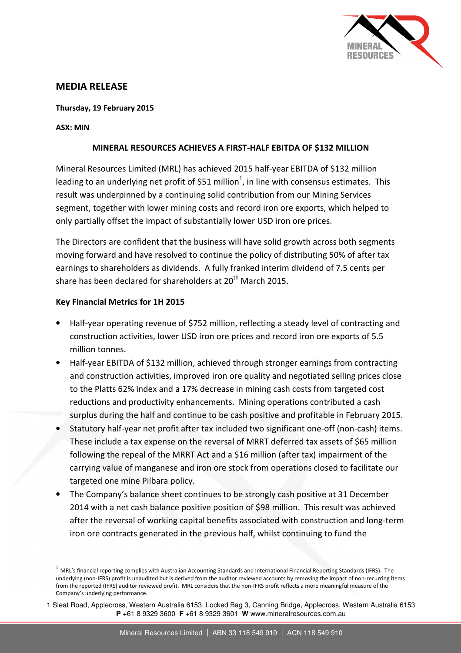

## MEDIA RELEASE

#### Thursday, 19 February 2015

#### ASX: MIN

 $\overline{a}$ 

#### MINERAL RESOURCES ACHIEVES A FIRST-HALF EBITDA OF \$132 MILLION

Mineral Resources Limited (MRL) has achieved 2015 half-year EBITDA of \$132 million leading to an underlying net profit of \$51 million<sup>1</sup>, in line with consensus estimates. This result was underpinned by a continuing solid contribution from our Mining Services segment, together with lower mining costs and record iron ore exports, which helped to only partially offset the impact of substantially lower USD iron ore prices.

The Directors are confident that the business will have solid growth across both segments moving forward and have resolved to continue the policy of distributing 50% of after tax earnings to shareholders as dividends. A fully franked interim dividend of 7.5 cents per share has been declared for shareholders at 20<sup>th</sup> March 2015.

#### Key Financial Metrics for 1H 2015

- Half-year operating revenue of \$752 million, reflecting a steady level of contracting and construction activities, lower USD iron ore prices and record iron ore exports of 5.5 million tonnes.
- Half-year EBITDA of \$132 million, achieved through stronger earnings from contracting and construction activities, improved iron ore quality and negotiated selling prices close to the Platts 62% index and a 17% decrease in mining cash costs from targeted cost reductions and productivity enhancements. Mining operations contributed a cash surplus during the half and continue to be cash positive and profitable in February 2015.
- Statutory half-year net profit after tax included two significant one-off (non-cash) items. These include a tax expense on the reversal of MRRT deferred tax assets of \$65 million following the repeal of the MRRT Act and a \$16 million (after tax) impairment of the carrying value of manganese and iron ore stock from operations closed to facilitate our targeted one mine Pilbara policy.
- The Company's balance sheet continues to be strongly cash positive at 31 December 2014 with a net cash balance positive position of \$98 million. This result was achieved after the reversal of working capital benefits associated with construction and long-term iron ore contracts generated in the previous half, whilst continuing to fund the

<sup>1</sup> MRL's financial reporting complies with Australian Accounting Standards and International Financial Reporting Standards (IFRS). The underlying (non-IFRS) profit is unaudited but is derived from the auditor reviewed accounts by removing the impact of non-recurring items from the reported (IFRS) auditor reviewed profit. MRL considers that the non-IFRS profit reflects a more meaningful measure of the Company's underlying performance.

<sup>1</sup> Sleat Road, Applecross, Western Australia 6153. Locked Bag 3, Canning Bridge, Applecross, Western Australia 6153 **P** +61 8 9329 3600 **F** +61 8 9329 3601 **W** www.mineralresources.com.au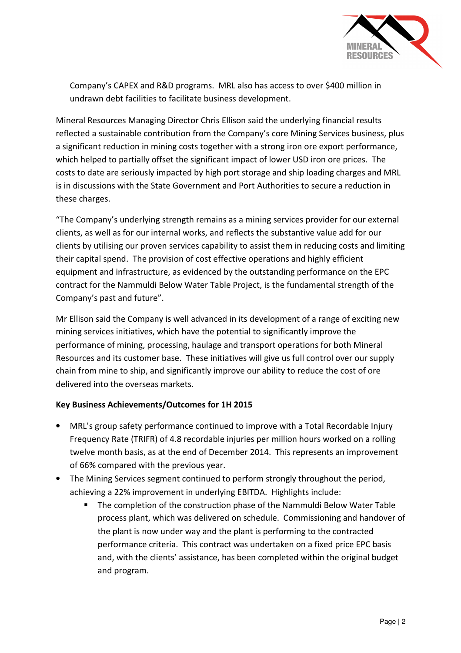

Company's CAPEX and R&D programs. MRL also has access to over \$400 million in undrawn debt facilities to facilitate business development.

Mineral Resources Managing Director Chris Ellison said the underlying financial results reflected a sustainable contribution from the Company's core Mining Services business, plus a significant reduction in mining costs together with a strong iron ore export performance, which helped to partially offset the significant impact of lower USD iron ore prices. The costs to date are seriously impacted by high port storage and ship loading charges and MRL is in discussions with the State Government and Port Authorities to secure a reduction in these charges.

"The Company's underlying strength remains as a mining services provider for our external clients, as well as for our internal works, and reflects the substantive value add for our clients by utilising our proven services capability to assist them in reducing costs and limiting their capital spend. The provision of cost effective operations and highly efficient equipment and infrastructure, as evidenced by the outstanding performance on the EPC contract for the Nammuldi Below Water Table Project, is the fundamental strength of the Company's past and future".

Mr Ellison said the Company is well advanced in its development of a range of exciting new mining services initiatives, which have the potential to significantly improve the performance of mining, processing, haulage and transport operations for both Mineral Resources and its customer base. These initiatives will give us full control over our supply chain from mine to ship, and significantly improve our ability to reduce the cost of ore delivered into the overseas markets.

### Key Business Achievements/Outcomes for 1H 2015

- MRL's group safety performance continued to improve with a Total Recordable Injury Frequency Rate (TRIFR) of 4.8 recordable injuries per million hours worked on a rolling twelve month basis, as at the end of December 2014. This represents an improvement of 66% compared with the previous year.
- The Mining Services segment continued to perform strongly throughout the period, achieving a 22% improvement in underlying EBITDA. Highlights include:
	- The completion of the construction phase of the Nammuldi Below Water Table process plant, which was delivered on schedule. Commissioning and handover of the plant is now under way and the plant is performing to the contracted performance criteria. This contract was undertaken on a fixed price EPC basis and, with the clients' assistance, has been completed within the original budget and program.